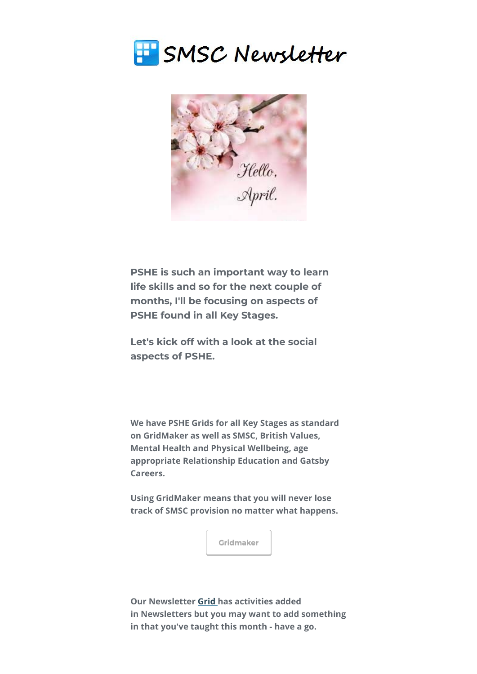



**PSHE is such an important way to learn life skills and so for the next couple of months, I'll be focusing on aspects of PSHE found in all Key Stages.**

**Let's kick off with a look at the social aspects of PSHE.**

**We have PSHE Grids for all Key Stages as standard on GridMaker as well as SMSC, British Values, Mental Health and Physical Wellbeing, age appropriate Relationship Education and Gatsby Careers.** 

**Using GridMaker means that you will never lose track of SMSC provision no matter what happens.** 



**Our Newsletter [Grid](https://smscgridmaker.createsend1.com/t/j-l-fquudt-l-y/) [h](https://smscgridmaker.createsend1.com/t/j-l-fquudt-l-j/)as activities added in Newsletters but you may want to add something in that you've taught this month - have a go.**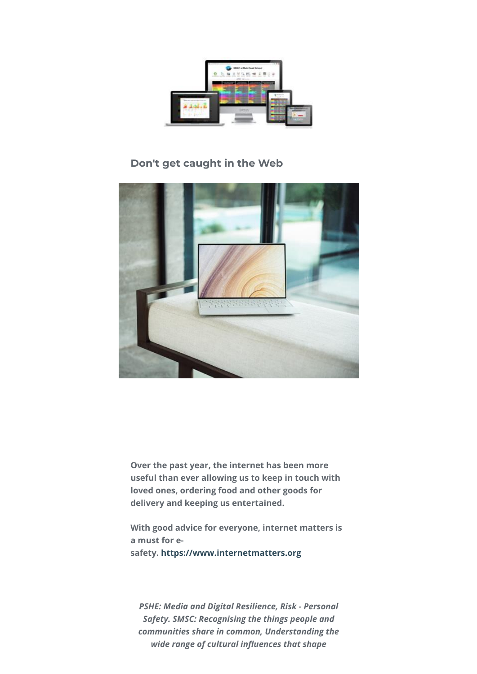

## **Don't get caught in the Web**



**Over the past year, the internet has been more useful than ever allowing us to keep in touch with loved ones, ordering food and other goods for delivery and keeping us entertained.**

**With good advice for everyone, internet matters is a must for esafety. [https://www.internetmatters.org](https://smscgridmaker.createsend1.com/t/j-l-fquudt-l-t/)**

*PSHE: Media and Digital Resilience, Risk - Personal Safety. SMSC: Recognising the things people and communities share in common, Understanding the wide range of cultural influences that shape*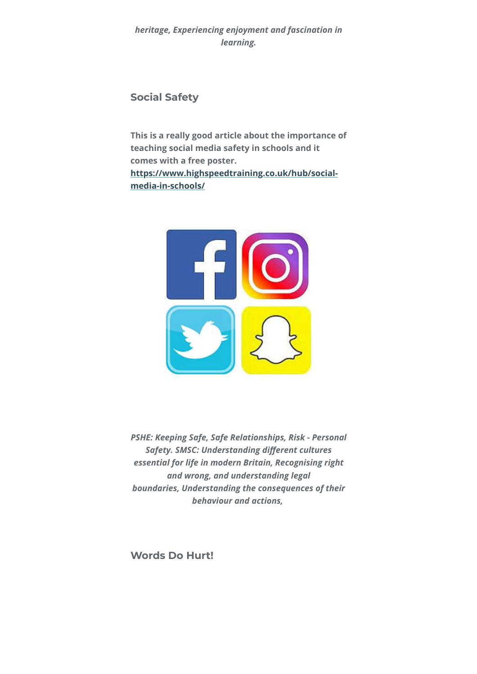*heritage, Experiencing enjoyment and fascination in learning.*

### **Social Safety**

**This is a really good article about the importance of teaching social media safety in schools and it comes with a free poster. [https://www.highspeedtraining.co.uk/hub/social](https://smscgridmaker.createsend1.com/t/j-l-fquudt-l-i/)media-in-schools/**



*PSHE: Keeping Safe, Safe Relationships, Risk - Personal* **Safety. SMSC: Understanding different cultures** *essential for life in modern Britain, Recognising right and wrong, and understanding legal boundaries, Understanding the consequences of their behaviour and actions,* 

**Words Do Hurt!**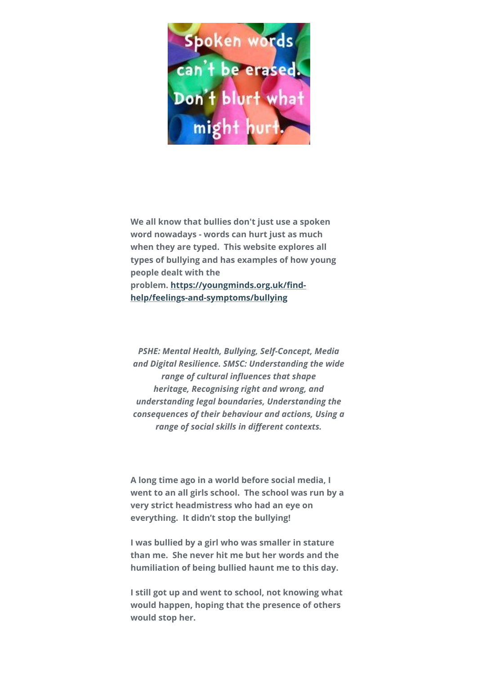

**We all know that bullies don't just use a spoken word nowadays - words can hurt just as much when they are typed. This website explores all types of bullying and has examples of how young people dealt with the** problem. https://youngminds.org.uk/find**help/feelings-and-symptoms/bullying**

*PSHE: Mental Health, Bullying, Self-Concept, Media and Digital Resilience. SMSC: Understanding the wide* range of cultural influences that shape *heritage, Recognising right and wrong, and understanding legal boundaries, Understanding the consequences of their behaviour and actions, Using a* range of social skills in different contexts.

**A long time ago in a world before social media, I went to an all girls school. The school was run by a very strict headmistress who had an eye on everything. It didn't stop the bullying!**

**I was bullied by a girl who was smaller in stature than me. She never hit me but her words and the humiliation of being bullied haunt me to this day.**

**I still got up and went to school, not knowing what would happen, hoping that the presence of others would stop her.**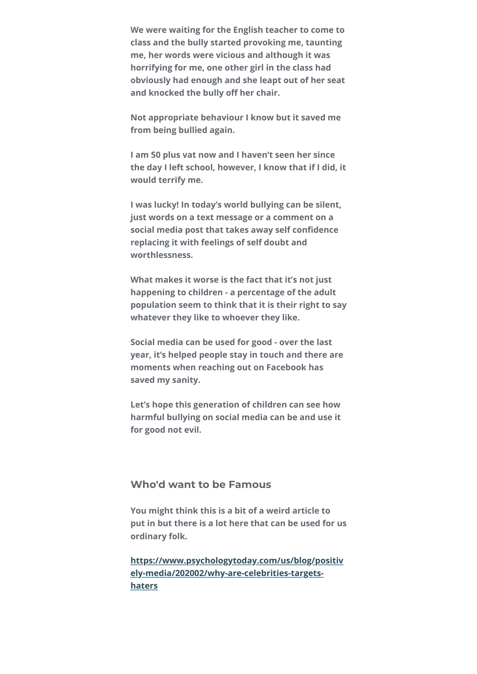**We were waiting for the English teacher to come to class and the bully started provoking me, taunting me, her words were vicious and although it was horrifying for me, one other girl in the class had obviously had enough and she leapt out of her seat** and knocked the bully off her chair.

**Not appropriate behaviour I know but it saved me from being bullied again.**

**I am 50 plus vat now and I haven't seen her since the day I left school, however, I know that if I did, it would terrify me.**

**I was lucky! In today's world bullying can be silent, just words on a text message or a comment on a** social media post that takes away self confidence **replacing it with feelings of self doubt and worthlessness.**

**What makes it worse is the fact that it's not just happening to children - a percentage of the adult population seem to think that it is their right to say whatever they like to whoever they like.**

**Social media can be used for good - over the last year, it's helped people stay in touch and there are moments when reaching out on Facebook has saved my sanity.** 

**Let's hope this generation of children can see how harmful bullying on social media can be and use it for good not evil.**

#### **Who'd want to be Famous**

**You might think this is a bit of a weird article to put in but there is a lot here that can be used for us ordinary folk.**

**[https://www.psychologytoday.com/us/blog/positiv](https://smscgridmaker.createsend1.com/t/j-l-fquudt-l-h/) ely-media/202002/why-are-celebrities-targetshaters**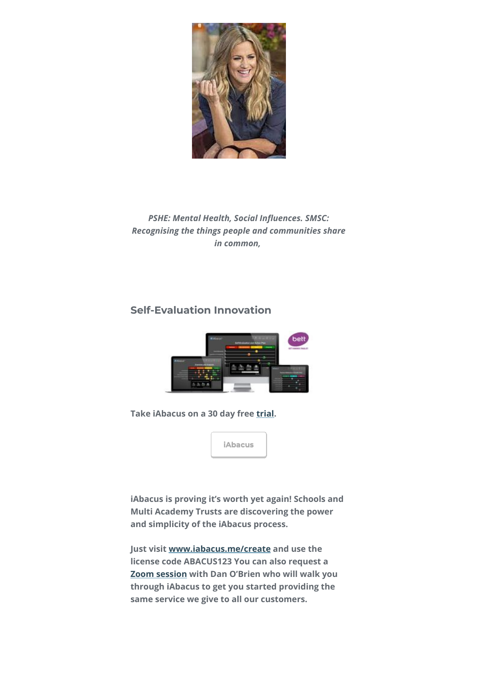

**PSHE: Mental Health, Social Influences. SMSC:** *Recognising the things people and communities share in common,* 

# **Self-Evaluation Innovation**



**Take iAbacus on a 30 day free [trial](https://smscgridmaker.createsend1.com/t/j-l-fquudt-l-k/).** 



**iAbacus is proving it's worth yet again! Schools and Multi Academy Trusts are discovering the power and simplicity of the iAbacus process.**

**Just visit [www.iabacus.me/create](https://smscgridmaker.createsend1.com/t/j-l-fquudt-l-o/) and use the license code ABACUS123 You can also request a [Zoom session](https://smscgridmaker.createsend1.com/t/j-l-fquudt-l-b/) with Dan O'Brien who will walk you through iAbacus to get you started providing the same service we give to all our customers.**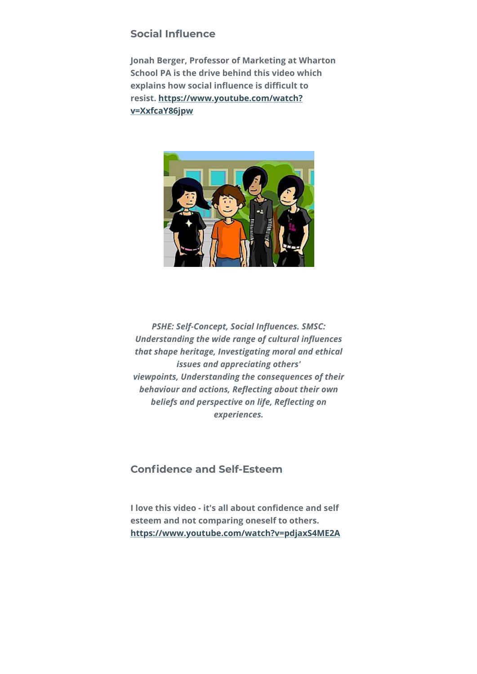#### **Social Influence**

**Jonah Berger, Professor of Marketing at Wharton School PA is the drive behind this video which** explains how social influence is difficult to **[resist. https://www.youtube.com/watch?](https://smscgridmaker.createsend1.com/t/j-l-fquudt-l-n/) v=XxfcaY86jpw**



**PSHE: Self-Concept, Social Influences. SMSC: Understanding the wide range of cultural influences** *that shape heritage, Investigating moral and ethical issues and appreciating others' viewpoints, Understanding the consequences of their* **behaviour and actions, Reflecting about their own beliefs and perspective on life, Reflecting on** *experiences.*

# **Confidence and Self-Esteem**

**I love this video - it's all about confidence and self esteem and not comparing oneself to others. [https://www.youtube.com/watch?v=pdjaxS4ME2A](https://smscgridmaker.createsend1.com/t/j-l-fquudt-l-p/)**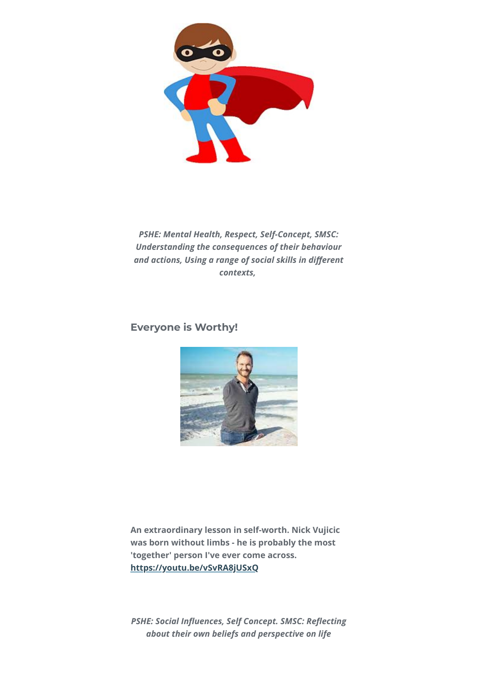

*PSHE: Mental Health, Respect, Self-Concept, SMSC: Understanding the consequences of their behaviour* and actions, Using a range of social skills in different *contexts,* 

#### **Everyone is Worthy!**



**An extraordinary lesson in self-worth. Nick Vujicic was born without limbs - he is probably the most 'together' person I've ever come across. [https://youtu.be/vSvRA8jUSxQ](https://smscgridmaker.createsend1.com/t/j-l-fquudt-l-x/)**

**PSHE: Social Influences, Self Concept. SMSC: Reflecting** *about their own beliefs and perspective on life*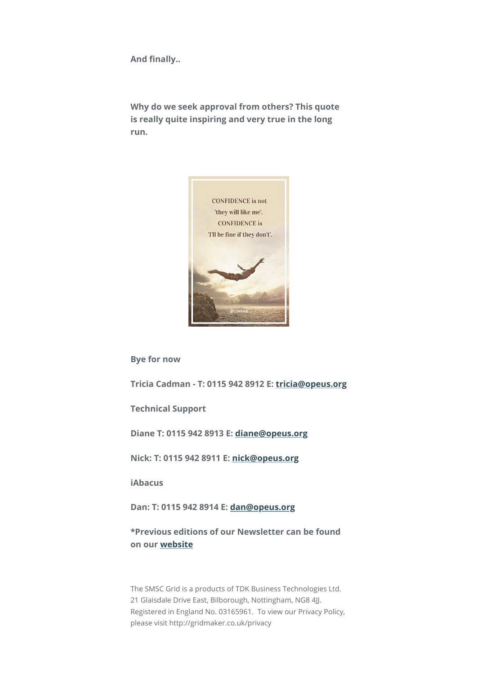**And finally..** 

**Why do we seek approval from others? This quote is really quite inspiring and very true in the long run.**



**Bye for now**

**Tricia Cadman - T: 0115 942 8912 E: [tricia@opeus.org](mailto:tricia@opeus.org)**

**Technical Support**

**Diane T: 0115 942 8913 E: [diane@opeus.org](mailto:diane@opeus.org)**

**Nick: T: 0115 942 8911 E: [nick@opeus.org](mailto:nick@opeus.org)**

**iAbacus**

**Dan: T: 0115 942 8914 E: [dan@opeus.org](mailto:dan@opeus.org)**

**\*Previous editions of our Newsletter can be found on our [website](https://smscgridmaker.createsend1.com/t/j-l-fquudt-l-m/)**

The SMSC Grid is a products of TDK Business Technologies Ltd. 21 Glaisdale Drive East, Bilborough, Nottingham, NG8 4JJ. Registered in England No. 03165961. To view our Privacy Policy, please visit http://gridmaker.co.uk/privacy